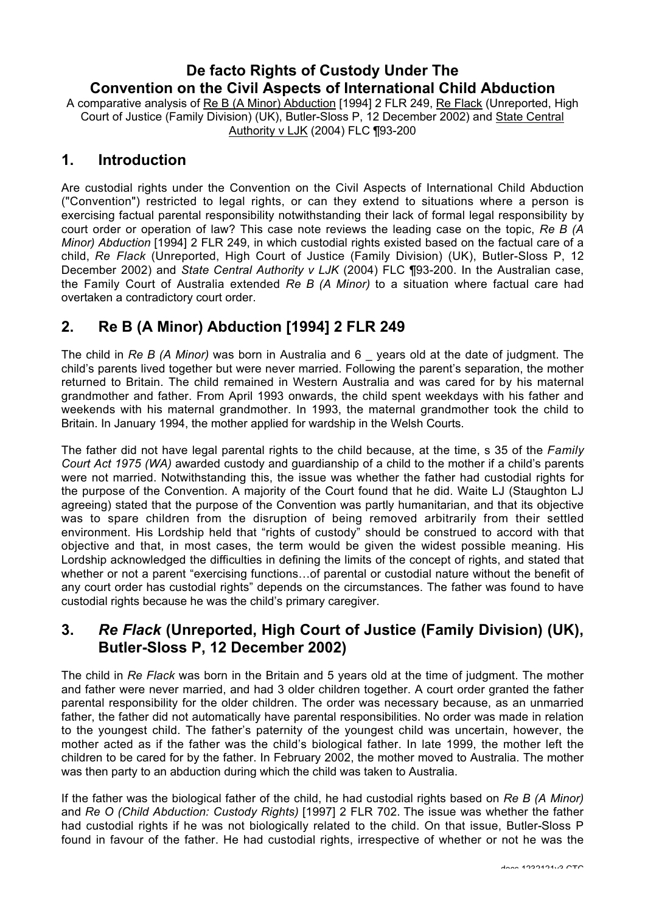# **De facto Rights of Custody Under The Convention on the Civil Aspects of International Child Abduction**

A comparative analysis of Re B (A Minor) Abduction [1994] 2 FLR 249, Re Flack (Unreported, High Court of Justice (Family Division) (UK), Butler-Sloss P, 12 December 2002) and State Central Authority v LJK (2004) FLC ¶93-200

#### **1. Introduction**

Are custodial rights under the Convention on the Civil Aspects of International Child Abduction ("Convention") restricted to legal rights, or can they extend to situations where a person is exercising factual parental responsibility notwithstanding their lack of formal legal responsibility by court order or operation of law? This case note reviews the leading case on the topic, *Re B (A Minor) Abduction* [1994] 2 FLR 249, in which custodial rights existed based on the factual care of a child, *Re Flack* (Unreported, High Court of Justice (Family Division) (UK), Butler-Sloss P, 12 December 2002) and *State Central Authority v LJK* (2004) FLC ¶93-200. In the Australian case, the Family Court of Australia extended *Re B (A Minor)* to a situation where factual care had overtaken a contradictory court order.

# **2. Re B (A Minor) Abduction [1994] 2 FLR 249**

The child in *Re B (A Minor)* was born in Australia and 6 \_ years old at the date of judgment. The child's parents lived together but were never married. Following the parent's separation, the mother returned to Britain. The child remained in Western Australia and was cared for by his maternal grandmother and father. From April 1993 onwards, the child spent weekdays with his father and weekends with his maternal grandmother. In 1993, the maternal grandmother took the child to Britain. In January 1994, the mother applied for wardship in the Welsh Courts.

The father did not have legal parental rights to the child because, at the time, s 35 of the *Family Court Act 1975 (WA)* awarded custody and guardianship of a child to the mother if a child's parents were not married. Notwithstanding this, the issue was whether the father had custodial rights for the purpose of the Convention. A majority of the Court found that he did. Waite LJ (Staughton LJ agreeing) stated that the purpose of the Convention was partly humanitarian, and that its objective was to spare children from the disruption of being removed arbitrarily from their settled environment. His Lordship held that "rights of custody" should be construed to accord with that objective and that, in most cases, the term would be given the widest possible meaning. His Lordship acknowledged the difficulties in defining the limits of the concept of rights, and stated that whether or not a parent "exercising functions…of parental or custodial nature without the benefit of any court order has custodial rights" depends on the circumstances. The father was found to have custodial rights because he was the child's primary caregiver.

## **3.** *Re Flack* **(Unreported, High Court of Justice (Family Division) (UK), Butler-Sloss P, 12 December 2002)**

The child in *Re Flack* was born in the Britain and 5 years old at the time of judgment. The mother and father were never married, and had 3 older children together. A court order granted the father parental responsibility for the older children. The order was necessary because, as an unmarried father, the father did not automatically have parental responsibilities. No order was made in relation to the youngest child. The father's paternity of the youngest child was uncertain, however, the mother acted as if the father was the child's biological father. In late 1999, the mother left the children to be cared for by the father. In February 2002, the mother moved to Australia. The mother was then party to an abduction during which the child was taken to Australia.

If the father was the biological father of the child, he had custodial rights based on *Re B (A Minor)* and *Re O (Child Abduction: Custody Rights)* [1997] 2 FLR 702. The issue was whether the father had custodial rights if he was not biologically related to the child. On that issue, Butler-Sloss P found in favour of the father. He had custodial rights, irrespective of whether or not he was the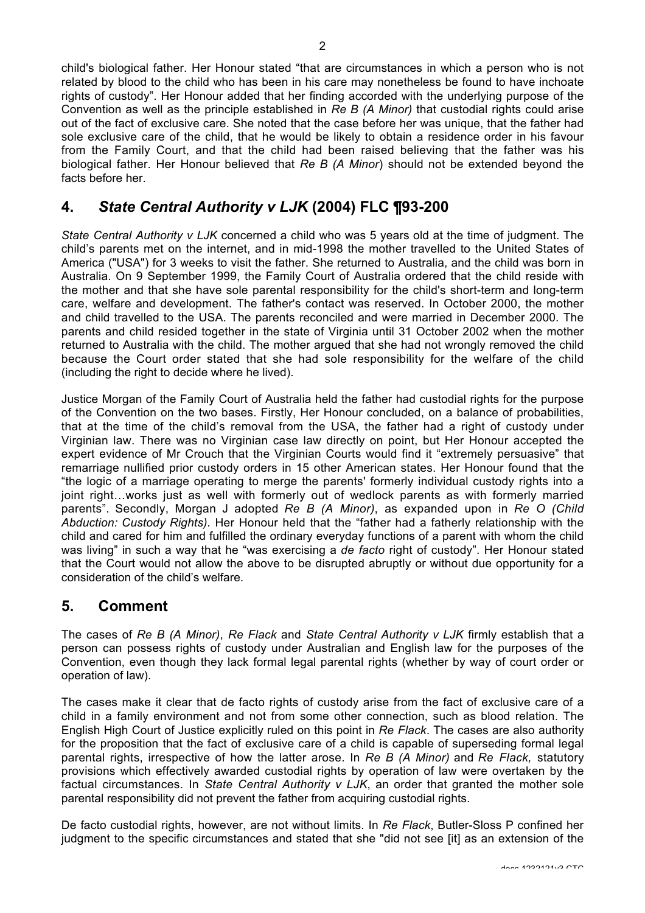child's biological father. Her Honour stated "that are circumstances in which a person who is not related by blood to the child who has been in his care may nonetheless be found to have inchoate rights of custody". Her Honour added that her finding accorded with the underlying purpose of the Convention as well as the principle established in *Re B (A Minor)* that custodial rights could arise out of the fact of exclusive care. She noted that the case before her was unique, that the father had sole exclusive care of the child, that he would be likely to obtain a residence order in his favour from the Family Court, and that the child had been raised believing that the father was his biological father. Her Honour believed that *Re B (A Minor*) should not be extended beyond the facts before her.

## **4.** *State Central Authority v LJK* **(2004) FLC ¶93-200**

*State Central Authority v LJK* concerned a child who was 5 years old at the time of judgment. The child's parents met on the internet, and in mid-1998 the mother travelled to the United States of America ("USA") for 3 weeks to visit the father. She returned to Australia, and the child was born in Australia. On 9 September 1999, the Family Court of Australia ordered that the child reside with the mother and that she have sole parental responsibility for the child's short-term and long-term care, welfare and development. The father's contact was reserved. In October 2000, the mother and child travelled to the USA. The parents reconciled and were married in December 2000. The parents and child resided together in the state of Virginia until 31 October 2002 when the mother returned to Australia with the child. The mother argued that she had not wrongly removed the child because the Court order stated that she had sole responsibility for the welfare of the child (including the right to decide where he lived).

Justice Morgan of the Family Court of Australia held the father had custodial rights for the purpose of the Convention on the two bases. Firstly, Her Honour concluded, on a balance of probabilities, that at the time of the child's removal from the USA, the father had a right of custody under Virginian law. There was no Virginian case law directly on point, but Her Honour accepted the expert evidence of Mr Crouch that the Virginian Courts would find it "extremely persuasive" that remarriage nullified prior custody orders in 15 other American states. Her Honour found that the "the logic of a marriage operating to merge the parents' formerly individual custody rights into a joint right…works just as well with formerly out of wedlock parents as with formerly married parents". Secondly, Morgan J adopted *Re B (A Minor)*, as expanded upon in *Re O (Child Abduction: Custody Rights)*. Her Honour held that the "father had a fatherly relationship with the child and cared for him and fulfilled the ordinary everyday functions of a parent with whom the child was living" in such a way that he "was exercising a *de facto* right of custody". Her Honour stated that the Court would not allow the above to be disrupted abruptly or without due opportunity for a consideration of the child's welfare.

### **5. Comment**

The cases of *Re B (A Minor)*, *Re Flack* and *State Central Authority v LJK* firmly establish that a person can possess rights of custody under Australian and English law for the purposes of the Convention, even though they lack formal legal parental rights (whether by way of court order or operation of law).

The cases make it clear that de facto rights of custody arise from the fact of exclusive care of a child in a family environment and not from some other connection, such as blood relation. The English High Court of Justice explicitly ruled on this point in *Re Flack*. The cases are also authority for the proposition that the fact of exclusive care of a child is capable of superseding formal legal parental rights, irrespective of how the latter arose. In *Re B (A Minor)* and *Re Flack,* statutory provisions which effectively awarded custodial rights by operation of law were overtaken by the factual circumstances. In *State Central Authority v LJK*, an order that granted the mother sole parental responsibility did not prevent the father from acquiring custodial rights.

De facto custodial rights, however, are not without limits. In *Re Flack*, Butler-Sloss P confined her judgment to the specific circumstances and stated that she "did not see [it] as an extension of the